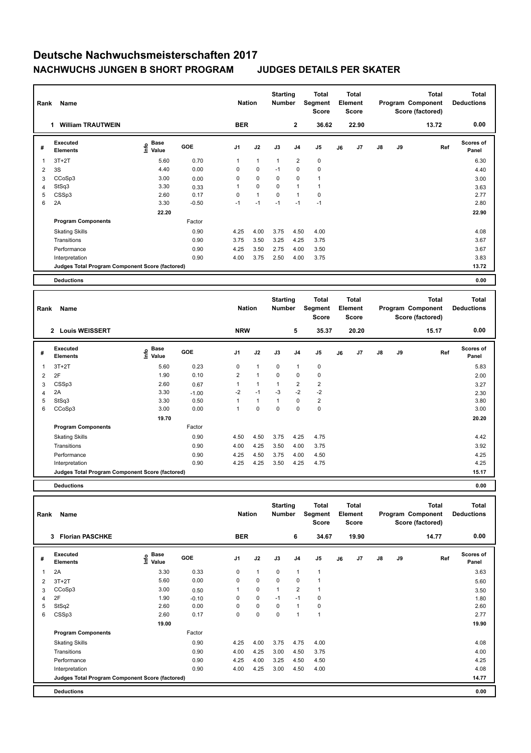## **Deutsche Nachwuchsmeisterschaften 2017 NACHWUCHS JUNGEN B SHORT PROGRAM JUDGES DETAILS PER SKATER**

## **Total Deductions Total Program Component Score (factored) Total Element Segment Score Total Score Starting Rank Name Nation Number Executed Elements Base Value GOE J1 J2 J3 J4 J5 J6 J7 J8 J9 Scores of Panel** 1 5.60 0.70 1 1 1 2 0 **Ref**  ستان کا براہ ہے کہ بن سے بن سے بن سے بن سے بن سے ایک سال ہے کہ سے ایک سال ہے کہ سے ایک سال ہے کہ سے ایک سال ہے<br>1.3T+2T 5.60 0.70 1 1 1 2 0 6.30 6.30  **1 William TRAUTWEIN BER 2 36.62 22.90 13.72 0.00** 2 3S 4.40 0.00 0 0 -1 0 0 4.40 3 CCoSp3 3.00 0.00 0 0 0 0 1 3.00 4 StSq3 3.30 0.33 1 0 0 1 1 3.63 5 CSSp3 2.60 0.17 0 1 0 1 0 2.77  $6$  2A 3.30 -0.50 -1 -1 -1 -1 -1 -1 -1 -1 2.80  **22.20 22.90 Program Components**  Skating Skills 4.25 4.00 3.75 4.50 4.00 0.90 4.08 Factor Transitions 0.90 3.75 3.50 3.25 4.25 3.75 3.67 Performance 2008 1.25 3.50 2.75 4.00 3.50 3.67 3.67 3.67 Interpretation 0.90 4.00 3.75 2.50 4.00 3.75 3.83 **Deductions 0.00 Judges Total Program Component Score (factored) 13.72**

| Rank           | <b>Name</b>                                     |                       | <b>Nation</b> |                | <b>Starting</b><br><b>Number</b> | <b>Total</b><br>Segment<br><b>Score</b> | <b>Total</b><br>Element<br><b>Score</b> |                | Program Component<br>Score (factored) |                | <b>Total</b>  | <b>Total</b><br><b>Deductions</b> |       |                    |
|----------------|-------------------------------------------------|-----------------------|---------------|----------------|----------------------------------|-----------------------------------------|-----------------------------------------|----------------|---------------------------------------|----------------|---------------|-----------------------------------|-------|--------------------|
|                | 2 Louis WEISSERT                                |                       |               | <b>NRW</b>     |                                  |                                         | 5                                       | 35.37          |                                       | 20.20          |               |                                   | 15.17 | 0.00               |
| #              | <b>Executed</b><br><b>Elements</b>              | Base<br>Info<br>Value | <b>GOE</b>    | J1             | J2                               | J3                                      | J <sub>4</sub>                          | J5             | J6                                    | J <sub>7</sub> | $\mathsf{J}8$ | <b>J9</b>                         | Ref   | Scores of<br>Panel |
| 1              | $3T+2T$                                         | 5.60                  | 0.23          | 0              | $\mathbf{1}$                     | $\mathbf 0$                             |                                         | 0              |                                       |                |               |                                   |       | 5.83               |
| $\overline{2}$ | 2F                                              | 1.90                  | 0.10          | $\overline{2}$ | $\mathbf{1}$                     | $\Omega$                                | 0                                       | $\mathbf 0$    |                                       |                |               |                                   |       | 2.00               |
| 3              | CSSp3                                           | 2.60                  | 0.67          | 1              | 1                                | $\mathbf{1}$                            | $\overline{2}$                          | $\overline{2}$ |                                       |                |               |                                   |       | 3.27               |
| 4              | 2A                                              | 3.30                  | $-1.00$       | $-2$           | $-1$                             | $-3$                                    | $-2$                                    | $-2$           |                                       |                |               |                                   |       | 2.30               |
| 5              | StSq3                                           | 3.30                  | 0.50          | 1              | 1                                | $\overline{1}$                          | 0                                       | $\overline{2}$ |                                       |                |               |                                   |       | 3.80               |
| 6              | CCoSp3                                          | 3.00                  | 0.00          | 1              | 0                                | 0                                       | $\Omega$                                | $\mathbf 0$    |                                       |                |               |                                   |       | 3.00               |
|                |                                                 | 19.70                 |               |                |                                  |                                         |                                         |                |                                       |                |               |                                   |       | 20.20              |
|                | <b>Program Components</b>                       |                       | Factor        |                |                                  |                                         |                                         |                |                                       |                |               |                                   |       |                    |
|                | <b>Skating Skills</b>                           |                       | 0.90          | 4.50           | 4.50                             | 3.75                                    | 4.25                                    | 4.75           |                                       |                |               |                                   |       | 4.42               |
|                | Transitions                                     |                       | 0.90          | 4.00           | 4.25                             | 3.50                                    | 4.00                                    | 3.75           |                                       |                |               |                                   |       | 3.92               |
|                | Performance                                     |                       | 0.90          | 4.25           | 4.50                             | 3.75                                    | 4.00                                    | 4.50           |                                       |                |               |                                   |       | 4.25               |
|                | Interpretation                                  |                       | 0.90          | 4.25           | 4.25                             | 3.50                                    | 4.25                                    | 4.75           |                                       |                |               |                                   |       | 4.25               |
|                | Judges Total Program Component Score (factored) |                       |               |                |                                  |                                         |                                         |                |                                       |                |               |                                   |       | 15.17              |

**Deductions 0.00**

**#** 

| Rank | <b>Name</b>                                     | <b>Nation</b>                               |         | <b>Starting</b><br><b>Number</b> |              | Total<br>Segment<br><b>Score</b> | <b>Total</b><br>Element<br><b>Score</b> |                |    |       | <b>Total</b><br>Program Component<br>Score (factored) | <b>Total</b><br><b>Deductions</b> |       |                           |
|------|-------------------------------------------------|---------------------------------------------|---------|----------------------------------|--------------|----------------------------------|-----------------------------------------|----------------|----|-------|-------------------------------------------------------|-----------------------------------|-------|---------------------------|
|      | <b>Florian PASCHKE</b><br>3                     |                                             |         | <b>BER</b>                       |              |                                  | 6                                       | 34.67          |    | 19.90 |                                                       |                                   | 14.77 | 0.00                      |
| #    | <b>Executed</b><br><b>Elements</b>              | <b>Base</b><br>e <sup>Base</sup><br>⊆ Value | GOE     | J1                               | J2           | J3                               | J <sub>4</sub>                          | J <sub>5</sub> | J6 | J7    | $\mathsf{J}8$                                         | J9                                | Ref   | <b>Scores of</b><br>Panel |
| 1    | 2A                                              | 3.30                                        | 0.33    | 0                                | $\mathbf{1}$ | 0                                | $\mathbf{1}$                            | $\mathbf{1}$   |    |       |                                                       |                                   |       | 3.63                      |
| 2    | $3T+2T$                                         | 5.60                                        | 0.00    | $\Omega$                         | $\mathbf 0$  | $\Omega$                         | $\mathbf 0$                             | $\mathbf{1}$   |    |       |                                                       |                                   |       | 5.60                      |
| 3    | CCoSp3                                          | 3.00                                        | 0.50    | 1                                | $\mathbf 0$  | 1                                | $\overline{2}$                          | 1              |    |       |                                                       |                                   |       | 3.50                      |
| 4    | 2F                                              | 1.90                                        | $-0.10$ | 0                                | $\mathbf 0$  | $-1$                             | $-1$                                    | 0              |    |       |                                                       |                                   |       | 1.80                      |
| 5    | StSq2                                           | 2.60                                        | 0.00    | 0                                | $\mathbf 0$  | 0                                | $\mathbf{1}$                            | 0              |    |       |                                                       |                                   |       | 2.60                      |
| 6    | CSSp3                                           | 2.60                                        | 0.17    | 0                                | $\pmb{0}$    | 0                                | $\overline{1}$                          | $\mathbf{1}$   |    |       |                                                       |                                   |       | 2.77                      |
|      |                                                 | 19.00                                       |         |                                  |              |                                  |                                         |                |    |       |                                                       |                                   |       | 19.90                     |
|      | <b>Program Components</b>                       |                                             | Factor  |                                  |              |                                  |                                         |                |    |       |                                                       |                                   |       |                           |
|      | <b>Skating Skills</b>                           |                                             | 0.90    | 4.25                             | 4.00         | 3.75                             | 4.75                                    | 4.00           |    |       |                                                       |                                   |       | 4.08                      |
|      | Transitions                                     |                                             | 0.90    | 4.00                             | 4.25         | 3.00                             | 4.50                                    | 3.75           |    |       |                                                       |                                   |       | 4.00                      |
|      | Performance                                     |                                             | 0.90    | 4.25                             | 4.00         | 3.25                             | 4.50                                    | 4.50           |    |       |                                                       |                                   |       | 4.25                      |
|      | Interpretation                                  |                                             | 0.90    | 4.00                             | 4.25         | 3.00                             | 4.50                                    | 4.00           |    |       |                                                       |                                   |       | 4.08                      |
|      | Judges Total Program Component Score (factored) |                                             |         |                                  |              |                                  |                                         |                |    |       |                                                       |                                   |       | 14.77                     |
|      | <b>Deductions</b>                               |                                             |         |                                  |              |                                  |                                         |                |    |       |                                                       |                                   |       | 0.00                      |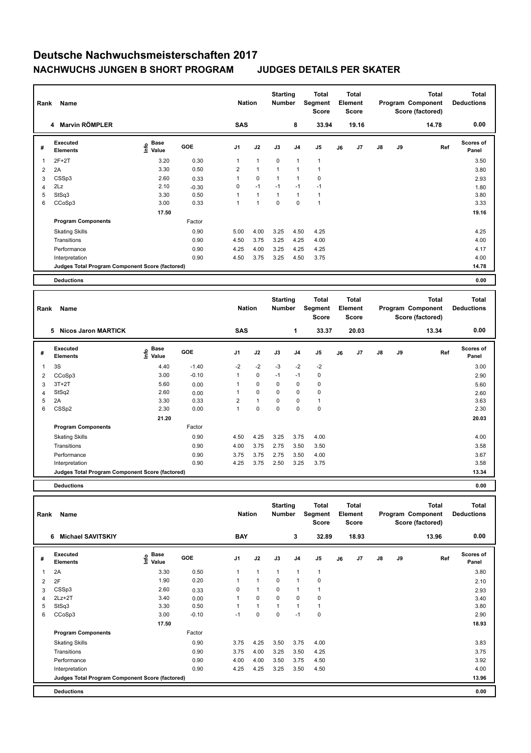## **Deutsche Nachwuchsmeisterschaften 2017 NACHWUCHS JUNGEN B SHORT PROGRAM JUDGES DETAILS PER SKATER**

| Rank           | Name                                            |                                                          | <b>Nation</b> |                | <b>Starting</b><br><b>Number</b> | Total<br>Segment<br><b>Score</b> | <b>Total</b><br>Element<br><b>Score</b> |                |    |       | <b>Total</b><br>Program Component<br>Score (factored) | <b>Total</b><br><b>Deductions</b> |       |                           |
|----------------|-------------------------------------------------|----------------------------------------------------------|---------------|----------------|----------------------------------|----------------------------------|-----------------------------------------|----------------|----|-------|-------------------------------------------------------|-----------------------------------|-------|---------------------------|
|                | <b>Marvin RÖMPLER</b><br>4                      |                                                          |               | <b>SAS</b>     |                                  |                                  | 8                                       | 33.94          |    | 19.16 |                                                       |                                   | 14.78 | 0.00                      |
| #              | Executed<br><b>Elements</b>                     | <b>Base</b><br>$\mathop{\mathsf{Irr}}\nolimits$<br>Value | GOE           | J <sub>1</sub> | J2                               | J3                               | J <sub>4</sub>                          | J <sub>5</sub> | J6 | J7    | J8                                                    | J9                                | Ref   | <b>Scores of</b><br>Panel |
| $\mathbf{1}$   | $2F+2T$                                         | 3.20                                                     | 0.30          |                | $\mathbf{1}$                     | $\mathbf 0$                      | $\overline{1}$                          | $\overline{1}$ |    |       |                                                       |                                   |       | 3.50                      |
| $\overline{2}$ | 2A                                              | 3.30                                                     | 0.50          | $\overline{2}$ | $\mathbf{1}$                     | 1                                | $\overline{1}$                          | 1              |    |       |                                                       |                                   |       | 3.80                      |
| 3              | CSSp3                                           | 2.60                                                     | 0.33          |                | $\mathbf 0$                      |                                  | $\mathbf{1}$                            | 0              |    |       |                                                       |                                   |       | 2.93                      |
| 4              | 2Lz                                             | 2.10                                                     | $-0.30$       | 0              | $-1$                             | $-1$                             | $-1$                                    | $-1$           |    |       |                                                       |                                   |       | 1.80                      |
| 5              | StSq3                                           | 3.30                                                     | 0.50          |                | $\mathbf{1}$                     | $\mathbf{1}$                     | $\mathbf{1}$                            | 1              |    |       |                                                       |                                   |       | 3.80                      |
| 6              | CCoSp3                                          | 3.00                                                     | 0.33          |                | $\mathbf{1}$                     | 0                                | 0                                       | $\overline{1}$ |    |       |                                                       |                                   |       | 3.33                      |
|                |                                                 | 17.50                                                    |               |                |                                  |                                  |                                         |                |    |       |                                                       |                                   |       | 19.16                     |
|                | <b>Program Components</b>                       |                                                          | Factor        |                |                                  |                                  |                                         |                |    |       |                                                       |                                   |       |                           |
|                | <b>Skating Skills</b>                           |                                                          | 0.90          | 5.00           | 4.00                             | 3.25                             | 4.50                                    | 4.25           |    |       |                                                       |                                   |       | 4.25                      |
|                | Transitions                                     |                                                          | 0.90          | 4.50           | 3.75                             | 3.25                             | 4.25                                    | 4.00           |    |       |                                                       |                                   |       | 4.00                      |
|                | Performance                                     |                                                          | 0.90          | 4.25           | 4.00                             | 3.25                             | 4.25                                    | 4.25           |    |       |                                                       |                                   |       | 4.17                      |
|                | Interpretation                                  |                                                          | 0.90          | 4.50           | 3.75                             | 3.25                             | 4.50                                    | 3.75           |    |       |                                                       |                                   |       | 4.00                      |
|                | Judges Total Program Component Score (factored) |                                                          |               |                |                                  |                                  |                                         |                |    |       |                                                       |                                   |       | 14.78                     |
|                | <b>Deductions</b>                               |                                                          |               |                |                                  |                                  |                                         |                |    |       |                                                       |                                   |       | 0.00                      |

| Rank | Name                                            | <b>Nation</b>     |            | <b>Starting</b><br><b>Number</b> |              | <b>Total</b><br>Segment<br><b>Score</b> | <b>Total</b><br>Element<br><b>Score</b> |                |    |       | Total<br>Program Component<br>Score (factored) | Total<br><b>Deductions</b> |       |                           |
|------|-------------------------------------------------|-------------------|------------|----------------------------------|--------------|-----------------------------------------|-----------------------------------------|----------------|----|-------|------------------------------------------------|----------------------------|-------|---------------------------|
|      | 5<br>Nicos Jaron MARTICK                        |                   |            | <b>SAS</b>                       |              |                                         | 1                                       | 33.37          |    | 20.03 |                                                |                            | 13.34 | 0.00                      |
| #    | <b>Executed</b><br><b>Elements</b>              | e Base<br>E Value | <b>GOE</b> | J <sub>1</sub>                   | J2           | J3                                      | J <sub>4</sub>                          | J <sub>5</sub> | J6 | J7    | $\mathsf{J}8$                                  | J9                         | Ref   | <b>Scores of</b><br>Panel |
| 1    | 3S                                              | 4.40              | $-1.40$    | $-2$                             | $-2$         | $-3$                                    | $-2$                                    | $-2$           |    |       |                                                |                            |       | 3.00                      |
| 2    | CCoSp3                                          | 3.00              | $-0.10$    | 1                                | $\mathbf 0$  | $-1$                                    | $-1$                                    | 0              |    |       |                                                |                            |       | 2.90                      |
| 3    | $3T+2T$                                         | 5.60              | 0.00       |                                  | $\mathbf 0$  | $\Omega$                                | 0                                       | $\pmb{0}$      |    |       |                                                |                            |       | 5.60                      |
| 4    | StSq2                                           | 2.60              | 0.00       |                                  | $\Omega$     | $\Omega$                                | 0                                       | $\mathbf 0$    |    |       |                                                |                            |       | 2.60                      |
| 5    | 2A                                              | 3.30              | 0.33       | $\overline{2}$                   | $\mathbf{1}$ | $\mathbf 0$                             | 0                                       | 1              |    |       |                                                |                            |       | 3.63                      |
| 6    | CSS <sub>p2</sub>                               | 2.30              | 0.00       | 1                                | $\mathbf 0$  | 0                                       | 0                                       | 0              |    |       |                                                |                            |       | 2.30                      |
|      |                                                 | 21.20             |            |                                  |              |                                         |                                         |                |    |       |                                                |                            |       | 20.03                     |
|      | <b>Program Components</b>                       |                   | Factor     |                                  |              |                                         |                                         |                |    |       |                                                |                            |       |                           |
|      | <b>Skating Skills</b>                           |                   | 0.90       | 4.50                             | 4.25         | 3.25                                    | 3.75                                    | 4.00           |    |       |                                                |                            |       | 4.00                      |
|      | Transitions                                     |                   | 0.90       | 4.00                             | 3.75         | 2.75                                    | 3.50                                    | 3.50           |    |       |                                                |                            |       | 3.58                      |
|      | Performance                                     |                   | 0.90       | 3.75                             | 3.75         | 2.75                                    | 3.50                                    | 4.00           |    |       |                                                |                            |       | 3.67                      |
|      | Interpretation                                  |                   | 0.90       | 4.25                             | 3.75         | 2.50                                    | 3.25                                    | 3.75           |    |       |                                                |                            |       | 3.58                      |
|      | Judges Total Program Component Score (factored) |                   |            |                                  |              |                                         |                                         |                |    |       |                                                |                            |       | 13.34                     |
|      |                                                 |                   |            |                                  |              |                                         |                                         |                |    |       |                                                |                            |       |                           |

**Deductions 0.00**

| Rank | <b>Name</b>                                     |                                  |         |                | <b>Nation</b>  |                | <b>Starting</b><br>Number | Total<br>Segment<br><b>Score</b> | <b>Total</b><br>Element<br><b>Score</b> |       |               |    | Total<br>Program Component<br>Score (factored) | <b>Total</b><br><b>Deductions</b> |
|------|-------------------------------------------------|----------------------------------|---------|----------------|----------------|----------------|---------------------------|----------------------------------|-----------------------------------------|-------|---------------|----|------------------------------------------------|-----------------------------------|
|      | <b>Michael SAVITSKIY</b><br>6                   |                                  |         | <b>BAY</b>     |                |                | 3                         | 32.89                            |                                         | 18.93 |               |    | 13.96                                          | 0.00                              |
| #    | Executed<br><b>Elements</b>                     | <b>Base</b><br>e Base<br>⊆ Value | GOE     | J <sub>1</sub> | J2             | J3             | J <sub>4</sub>            | J <sub>5</sub>                   | J6                                      | J7    | $\mathsf{J}8$ | J9 | Ref                                            | <b>Scores of</b><br>Panel         |
| 1    | 2A                                              | 3.30                             | 0.50    |                | $\overline{1}$ | $\overline{1}$ | $\overline{1}$            | $\mathbf{1}$                     |                                         |       |               |    |                                                | 3.80                              |
| 2    | 2F                                              | 1.90                             | 0.20    |                | $\overline{1}$ | 0              | $\overline{1}$            | $\mathbf 0$                      |                                         |       |               |    |                                                | 2.10                              |
| 3    | CSSp3                                           | 2.60                             | 0.33    | 0              | 1              | $\mathbf 0$    | $\overline{1}$            |                                  |                                         |       |               |    |                                                | 2.93                              |
| 4    | $2Lz+2T$                                        | 3.40                             | 0.00    |                | $\pmb{0}$      | $\mathbf 0$    | $\pmb{0}$                 | 0                                |                                         |       |               |    |                                                | 3.40                              |
| 5    | StSq3                                           | 3.30                             | 0.50    |                | $\mathbf{1}$   | $\overline{1}$ | 1                         | 1                                |                                         |       |               |    |                                                | 3.80                              |
| 6    | CCoSp3                                          | 3.00                             | $-0.10$ | $-1$           | $\mathbf 0$    | 0              | $-1$                      | 0                                |                                         |       |               |    |                                                | 2.90                              |
|      |                                                 | 17.50                            |         |                |                |                |                           |                                  |                                         |       |               |    |                                                | 18.93                             |
|      | <b>Program Components</b>                       |                                  | Factor  |                |                |                |                           |                                  |                                         |       |               |    |                                                |                                   |
|      | <b>Skating Skills</b>                           |                                  | 0.90    | 3.75           | 4.25           | 3.50           | 3.75                      | 4.00                             |                                         |       |               |    |                                                | 3.83                              |
|      | Transitions                                     |                                  | 0.90    | 3.75           | 4.00           | 3.25           | 3.50                      | 4.25                             |                                         |       |               |    |                                                | 3.75                              |
|      | Performance                                     |                                  | 0.90    | 4.00           | 4.00           | 3.50           | 3.75                      | 4.50                             |                                         |       |               |    |                                                | 3.92                              |
|      | Interpretation                                  |                                  | 0.90    | 4.25           | 4.25           | 3.25           | 3.50                      | 4.50                             |                                         |       |               |    |                                                | 4.00                              |
|      | Judges Total Program Component Score (factored) |                                  |         |                |                |                |                           |                                  |                                         |       |               |    |                                                | 13.96                             |
|      | <b>Deductions</b>                               |                                  |         |                |                |                |                           |                                  |                                         |       |               |    |                                                | 0.00                              |